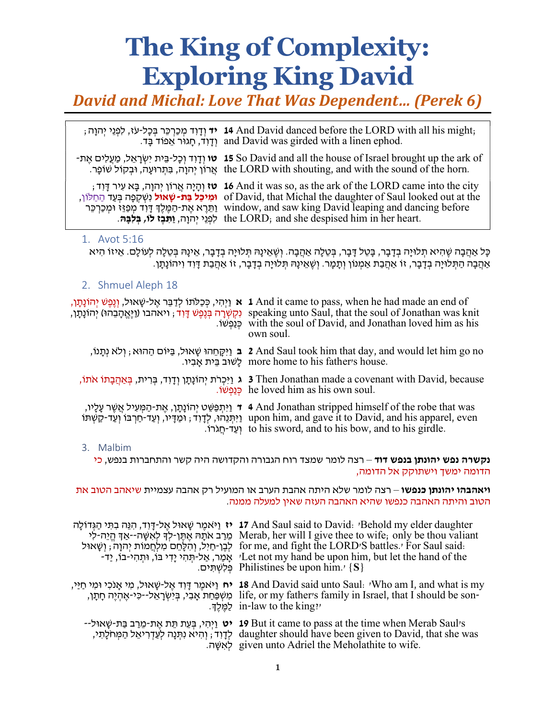# The King of Complexity: Exploring King David

David and Michal: Love That Was Dependent… (Perek 6)

יד ְוָדִוד ְמ ַכְר ֵכּר ְבּ ָכל- ֹעז, ִל ְפֵªי ְיהָוה; 14 And David danced before the LORD with all his might; ְוָדִוד, ָחגוּר ֵאפוֹד ָבּד. and David was girded with a linen ephod.

-טו וְדָוִד וְכָל-בֵּית יִשְׂרָאֵל, מַעֲלִים אֶת 15 So David and all the house of Israel brought up the ark of ּאֲרוֹן יְהוָה, בִּתְרוּעָה, וּבְקוֹל שׁוֹפָר. the LORD with shouting, and with the sound of the horn.

; בְּא יִוּר בְּא עִיר דָּוִד; the And it was so, as the ark of the LORD came into the city (קְיָה אֲרוֹן  $\,$ י יִמִיכַל בַּת- שָׁאוּל וִשְׁקְפָה בְּעַד הַחַלּוֹן, of David, that Michal the daughter of Saul looked out at the ַוְתֵּרֶא אֶת-הַמֶּלֶךְ דָּוִד מְפַזֵּז וּמְכַרְכֵּר window, and saw king David leaping and dancing before : לִפְנֵי יְהוָה, **וַתִּבֶא לוֹ, בְּלִבָּה t**he LORD; and she despised him in her heart.

## 1. Avot 5:16

ָכָּל אַהֲבָה שֶׁהִיא תִלוּיָה בְדָבָר, בָּטֶל דָּבָר, בְּטֵלָה אֲהַבָה. וְשֶׁאֵינָהּ תִּלוּיָה בְדָבָר, אֵינָהּ בִּטֶלָה לְעוֹלָם. אֵיזוֹ הִיא ָאֲהַבָּה הַתִּלוּיַה בְדָבָר, זוֹ אֲהֵבָת אֲמְנוֹן וְתָמַר. וְשֶׁאֱינַהּ תִּלוּיַה בְדָבָר, זוֹ אֲהֵבָת דָּוִד וְיהוֹנַתַן.

## 2. Shmuel Aleph 18

| יְהוֹנָתָן, 1 And it came to pass, when he had made an end of אַ וַיִּהִי, כְּכַלֹתוֹ לְדַבֵּר אֶל-שָׁאוּל, וְנֶפֶּשׁ יְהוֹנָתָן,<br>יְהוֹנָתָן, speaking unto Saul, that the soul of Jonathan was knit<br>i vith the soul of David, and Jonathan loved him as his<br>own soul. |
|---------------------------------------------------------------------------------------------------------------------------------------------------------------------------------------------------------------------------------------------------------------------------------|
| יִרְמְחָהוּ שָׁאוּל, בַּיּוֹם מַהוּא ; וְלֹא נִתְּנוֹ 2 And Saul took him that day, and would let him go no<br>.שוב בית אביו more home to his father's house.                                                                                                                   |
| , גַּ וַיִּכְרֹת יְהוֹנָתָן וְדָוִד, בְּרִית, בְּאַהֲבָתוֹ 3 Then Jonathan made a covenant with David, because<br>.jude loved him as his own soul.                                                                                                                              |
| יְהוֹנָתָן, אֵת-הַמְּעִיל אֲשֵׁר עָלָיו, f 4 And Jonathan stripped himself of the robe that was<br>יַ pon him, and gave it to David, and his apparel, even וַיִּתְּנֵהוּ, לְדָוִד; וּמַדְיו, וְעַד-חַרְבּוֹ וְעַד-קַשְׁתּוֹ<br>to his sword, and to his bow, and to his girdle. |

#### 3. Malbim

**נקשרה נפש יהונתן בנפש דוד** – רצה לומר שמצד רוח הגבורה והקדושה היה קשר והתחברות בנפש, <mark>כי</mark> הדומה ימשך וישתוקק אל הדומה,

#### **ויאהבהו יהונתן כנפשו** – רצה לומר שלא היתה אהבת הערב או המועיל רק אהבה עצמיית שיאהב הטוב את הטוב והיתה האהבה כנפשו שהיא האהבה העזה שאין למעלה ממנה.

| יאמר שַאוּל אֱל-דַּוְד, הְנֶה בְתִּי הַגְּדוֹלַה 17 And Saul said to David: 'Behold my elder daughter<br>Merab, her will I give thee to wife; only be thou valiant מֲרַב אֹתָה אֲתֶן-לִדְּ לְאִשֶּׁה--אִדְּ הֱיֶה-לִי<br>for me, and fight the LORD'S battles.' For Saul said: לְבֵן-חַיִל, וְהִלַּחֵם מְלִחֲמוֹת יְהוַה; וְשָׁאוּל<br>י אָמַר, אַל-תְּהִי יִדִי בּוֹ, וּתְהִי-בּוֹ, יַד<br>Philistines be upon him.' {S} |
|---------------------------------------------------------------------------------------------------------------------------------------------------------------------------------------------------------------------------------------------------------------------------------------------------------------------------------------------------------------------------------------------------------------------------|
| יח וַיֹּאמֶר דָּוְד אֱל-שָׁאוּל, מִי אֲנֹכְי וּמְי 18 And David said unto Saul: 'Who am I, and what is my<br>p dife, or my father's family in Israel, that I should be son-<br>.in-law to the king?                                                                                                                                                                                                                       |
| - ישאוּל 19 But it came to pass at the time when Merab Saul's יש וַיִּהְי, בְּעֵת תֵּת אֵת-מֵרַב בַּת-שָׁאוּל<br>לְדָוִד; וְהִיא נִתְּנָה לְעַדְרִיאֵל הַמְּחֹלָתִי, daughter should have been given to David, that she was<br>given unto Adriel the Meholathite to wife.                                                                                                                                                 |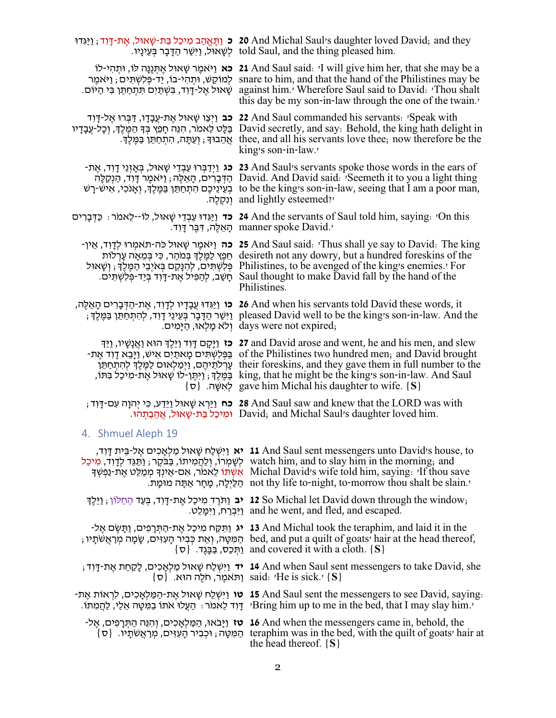| לְשָׁאוּל, וַיִּשַׁר הַדָּבָר בְּעֵינָיו.                                                                                                                                                                                         | נַיִּגְדוּ ( And Michal Saul's daughter loved David; and they פּ נַתֲאֱהַב מְיכַל בַּת-שָׁאוּל, אֱת-דָּוִד, וַיַּגְדוּ<br>told Saul, and the thing pleased him.                                                                                                                                                                                                                                              |
|-----------------------------------------------------------------------------------------------------------------------------------------------------------------------------------------------------------------------------------|--------------------------------------------------------------------------------------------------------------------------------------------------------------------------------------------------------------------------------------------------------------------------------------------------------------------------------------------------------------------------------------------------------------|
| <b>כא</b> וַיֹּאמֶר שָׁאוּל אֱתְּנֵנָּה לוֹ, וּתְהִי-לוֹ<br>לְמוֹקֵשׁ, וּתִהְי-בוֹ, יַד-פְּלִשְׁתִּים; וַיּאמֶר<br>שָׁאוּל אֱל-דָּוִד, בִּשְׁתַּיִם תִּתְחַתֵּן בִּי הַיּוֹם.                                                     | <b>21</b> And Saul said: <i>I</i> will give him her, that she may be a<br>snare to him, and that the hand of the Philistines may be<br>against him.' Wherefore Saul said to David: 'Thou shalt<br>this day be my son-in-law through the one of the twain.                                                                                                                                                    |
| <b>כב</b> וַיִּצוּ שָׁאוּל אֵת-עֲבָדָו, דַּבְּרוּ אֵל-דָּוִד<br>בַּלָט לֵאמר, הִנֵּה חָפֵץ בְּדָּ הַמֶּלֶדְּ, וְכָל-עֲבָדָיו<br>אַהֵבוּךָ ; וְעַתָּה, הִתְחַתֵּן בַּמֵּלֵךְ.                                                      | <b>22</b> And Saul commanded his servants: 'Speak with<br>David secretly, and say: Behold, the king hath delight in<br>thee, and all his servants love thee; now therefore be the<br>king's son-in-law.                                                                                                                                                                                                      |
| -כֹּג וַיְדַבְּרוּ עַבְדֵי שָׁאוּל, בְּאָזְנֵי דָוִד, אֶת<br>הַדְּבָרִים, הָאֵלֶה ; וַיּאמֵר דָּוִד, הַנְקַלָּה<br>בְעֵינֵיכֶם הִתְחַתֵּן בַּמֶּלֶךָ, וְאָנֹכִי, אִישׁ-רַשׁ<br>וִנְקָלֵה.                                         | 23 And Saul's servants spoke those words in the ears of<br>David. And David said: 'Seemeth it to you a light thing<br>to be the king's son-in-law, seeing that I am a poor man,<br>and lightly esteemed?                                                                                                                                                                                                     |
| <b>כד</b> וַיַּגְדוּ עַבְדֵי שָׁאוּל, לוֹ--לֵאמֹר ִּ כַּדְּבָרִים<br>ּהָאֵלֶה, דִּבֵּר דַּוִד.                                                                                                                                    | <b>24</b> And the servants of Saul told him, saying: 'On this<br>manner spoke David.                                                                                                                                                                                                                                                                                                                         |
| <b>כה</b> וַיֹּאמֵר שָׁאוּל כּה-תאמִרוּ לְדַוְד, אֵין-<br>חֵפֵץ לַמֵּלֵךְ בִּמֹחַר, כִּי בִּמֵאָה עַרְלוֹת<br>פִּלְשְׁתִּים, לְהִנָּקֵם בִּאֹיְבֵי הַמֵּלֵךְ ; וְשָׁאוּל<br>ּחָשַׁב, לְהַפִּיֹל אֶת-דָּוִד בְּיַד-פְּלִשְׁתִּיֹם. | <b>25</b> And Saul said: Thus shall ye say to David: The king<br>desireth not any dowry, but a hundred foreskins of the<br>Philistines, to be avenged of the king's enemies.' For<br>Saul thought to make David fall by the hand of the<br>Philistines.                                                                                                                                                      |
| <b>ּכוּ</b> וַיַּגִּדוּ עֲבָדָיו לְדָוִד, אֶת-הַדְּבָרִים הָאֵלֶה,<br>ַוַיִּשַׁר הַדָּבָר בְּעֵינֵי דָוִד, לְהִתְחַתֵּן בַּמֶּלֶךְ ;<br>ולא מַלְאוּ, הַיָּמִים.                                                                   | 26 And when his servants told David these words, it<br>pleased David well to be the king's son-in-law. And the<br>days were not expired;                                                                                                                                                                                                                                                                     |
| <b>כז</b> וַיָּקָם דָּוִד וַיֵּלֵךְ הוּא וַאֲנָשָׁיו, וַיַּךְ<br>-בַּפְּלְשְׁתִּים מַאתַיִם אִישׁ, וַיַּבֵא דָוִד אֵת<br>ערלתיהם, וימלאום למלך להתחתו<br>בַּמֵּלֵךְ; וַיִּתֵּן-לוֹ שָׁאוּל אֵת-מִיכַל בִּתּוֹ,<br>לְאִשָּׁה. {ס   | 27 and David arose and went, he and his men, and slew<br>of the Philistines two hundred men, and David brought<br>their foreskins, and they gave them in full number to the<br>king, that he might be the king's son-in-law. And Saul<br>gave him Michal his daughter to wife. {S}                                                                                                                           |
| וּמִיכַל בַּת-שַׁאוּל, אֲהֵבַתְּהוּ.                                                                                                                                                                                              | , פֿר זיִרא שָׁאוּל וַיֵּדַע, כִּי יְהוָה עִם-דָּוִד 28 And Saul saw and knew that the LORD was with<br>David; and Michal Saul's daughter loved him.                                                                                                                                                                                                                                                         |
| 4. Shmuel Aleph 19                                                                                                                                                                                                                |                                                                                                                                                                                                                                                                                                                                                                                                              |
|                                                                                                                                                                                                                                   | יא וַיִּשְׁלַח שָׁאוּל מַלְאֲכִים אֱל-בֵּית דָּוְד, 11 And Saul sent messengers unto David's house, to<br>לְשָׁמְרוֹ, וְלַהֲמְיתוֹ, בַּבֹּקֵר ; וַתַּגֵּד לְדָוִד, מְיכַל watch him, and to slay him in the morning; and<br>אָשְׁתּוֹ לֵאמֹר, אִם-אֱינְךָּ מִמַלֵּט אֵת-נַפְשְׁךָ Michal David's wife told him, saying: <sup>,</sup> If thou save<br>י not thy life to-night, to-morrow thou shalt be slain. |
|                                                                                                                                                                                                                                   | יב וַתּּרֵד מִיכַל אֵת-דָּוִד, בִּעַד הַחַלּוֹן, וַיֵּלֵךְ 12 So Michal let David down through the window,<br>.וַיִּמְלֵט and he went, and fled, and escaped.                                                                                                                                                                                                                                                |
|                                                                                                                                                                                                                                   | יג וַתְּקַח מִיכַל אֶת-הַתְּרָפִים, וַתְּשֶׂם אֶל- 13 And Michal took the teraphim, and laid it in the<br>; פְּבִיר הָעִיִּים, שָׂמָה ded, and put a quilt of goats <sup>,</sup> hair at the head thereof, הְמִיּה, וְאֵת כְּבִיר הָעִיִּים, שָׂמָה מְרַאֲשֹׁתָיו<br>$\{\sigma\}$ נְתְּכָס, בְּבֵּגֵד. and covered it with a cloth. {S}                                                                      |
|                                                                                                                                                                                                                                   | יד וַיִּשְׁלַח שָׁאוֹל מַלְאָכִים, לָקַחַת אֵת-דָּוִד ( 14 And when Saul sent messengers to take David, she<br>$\{\sigma\}$ . נתאמר, חלה הוא said: 'He is sick.' {S}                                                                                                                                                                                                                                         |
|                                                                                                                                                                                                                                   | - <b>עו</b> נִיּשְׁלַח שָׁאוּל אֵת-הַמַּלְאָכִים, לִרְאוֹת אֵת 15 And Saul sent the messengers to see David, saying:<br>י דוד לאמר: הַעֲלוֹ אתוֹ בַמְּטָה אֵלֵי, לַהֲמְתוֹ. 'Bring him up to me in the bed, that I may slay him?'                                                                                                                                                                            |
| <b>טז</b> וַיַּבֹאוּ, הַמַּלְאָכִים, וְהִנֵּה הַתְּרָפִים, אֵל-<br>ֿהַמְּטָה; וּכְבִיר הָעְזִים, מְרַאֲשֹׁתָיו. {ס                                                                                                                | <b>16</b> And when the messengers came in, behold, the<br>teraphim was in the bed, with the quilt of goats' hair at<br>the head thereof. $\{S\}$                                                                                                                                                                                                                                                             |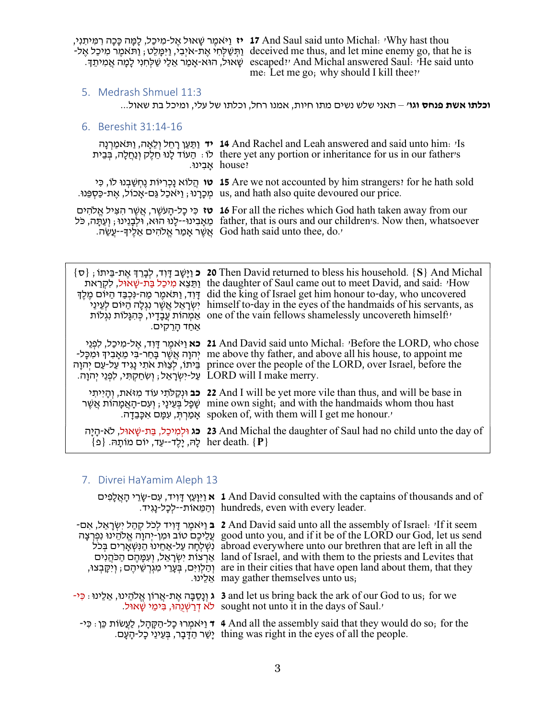יז וַיּאמֶר שָׁאוּל אֶל-מִיכֵל, לָמָּה כָּכָה רִמִּיתִנִי, in And Saul said unto Michal:  $\cdot$ Why hast thou ַוּתְּשַׁלְחִי אֶת-איְבִי, וַיִּמְּלֵט; וַתֹּאמֶר מִיכַל אֶל- deceived me thus, and let mine enemy go, that he is ָשְׁאוּל, הוּא-אָמַר אֵלַי שַׁלְחִנִי לָמָה אֲמִיתֵךָ. "escaped?' And Michal answered Saul: 'He said unto me: Let me go; why should I kill thee?'

#### 5. Medrash Shmuel 11:3

וכלתו אשת פנחס וגו׳ – תאני שלש נשים מתו חיות, אמנו רחל, וכלתו של עלי, ומיכל בת שאול...

#### 6. Bereshit 31:14-16

| יד וַתַּעַן רַחֲל וְלֵאֲהּ, וַתּאמַרְנַה 14 And Rachel and Leah answered and said unto him: $\eta$ Is<br>there yet any portion or inheritance for us in our father's לו: העוד לָנוּ חֵלֵק וְנַחֲלָה, בְּבֵית<br>אַבִינוּ. house?                                                                     |
|------------------------------------------------------------------------------------------------------------------------------------------------------------------------------------------------------------------------------------------------------------------------------------------------------|
| י הַלוֹא נַכְרְיּוֹת גֵחְשַׁבְנוּ לוֹ, כִּי 15 Are we not accounted by him strangers? for he hath sold<br>.us, and hath also quite devoured our price. מְכָרָנוּ, וַיֹּאכַל גַּם-אָכוֹל, אֱת-כַּסְפֵּנוּ.                                                                                            |
| י כְּי כָל-הָעֹשֵׁר, אֲשֵׁר הִצִּיל אֱלֹהִים 16 For all the riches which God hath taken away from our<br>ּמֵאָבִינוּ--לָנוּ הוּא, וּלִבְנֵינוּ ; וַעַתְּה, כֹּל father, that is ours and our children's. Now then, whatsoever<br>אַשֶׁר אַפַר אֱלהִים אֱלֵיךָ--עַשֶׂה. God hath said unto thee, do.' |

| כ וַיַּשֻׁב דַּוִד, לִבָרֵךְ אֵת-בֵּיתוֹ ; {ס<br>וַתֵּצֵא מִיכַל בַּת-שַׁאוּל, לִקְרַאת<br>ַדַּוְד, וַתּאמֵר מַה-נִּכְבַּד הַיּוֹם מֵלֵךְ<br>יִשְׂרָאֵל אֲשֶׁר נְגְלָה הַיּוֹם לְעֵינֵי<br>אַמְהוֹת עֲבָדָיו, כְּהְגָּלוֹת נְגְלוֹת<br>אַחַד הַרֵקִים. | <b>20</b> Then David returned to bless his household. {S} And Michal<br>the daughter of Saul came out to meet David, and said: 'How<br>did the king of Israel get him honour to-day, who uncovered<br>himself to-day in the eyes of the handmaids of his servants, as<br>one of the vain fellows shamelessly uncovereth himself!' |
|--------------------------------------------------------------------------------------------------------------------------------------------------------------------------------------------------------------------------------------------------------|-----------------------------------------------------------------------------------------------------------------------------------------------------------------------------------------------------------------------------------------------------------------------------------------------------------------------------------|
| בֵּיתוֹ, לִצַוּת אתִי נַגְיד עַל-עַם יְהוַה<br>.LORD will I make merry על-יִשְׂרָאֵל; וְשְׂחַקְתִּי, לְפְנֵי יְהוָה.                                                                                                                                   | יאמֵר דָּוִד, אֱל-מְיכַל, לְפְנֵי 21 And David said unto Michal: 'Before the LORD, who chose<br>יהוָה אֲשֶׁר בַּחֲר-בִּי מֵאֲבִיךְ וּמִכְּל- me above thy father, and above all his house, to appoint me<br>prince over the people of the LORD, over Israel, before the                                                           |
| ּשָׁפָל בְּעֵינַי , וְעָם-הָאֲמָהוֹת אֲשֶׁר<br>אַמַרִת, עִמַּם אִכָּבֵדָה.                                                                                                                                                                             | ניתי 22 And I will be yet more vile than thus, and will be base in <b>22 CALL 22 כב</b> ונקלתי עוד מיאת, והייתי<br>mine own sight; and with the handmaids whom thou hast<br>spoken of, with them will I get me honour.                                                                                                            |
| <b>כג</b> וּלִמְיכַל, בַּת-שַׁאוּל, לֹא-הַיַּה<br>$\{e\}$ her death. $\{P\}$ לה, יבד--עד, יום מותה                                                                                                                                                     | 23 And Michal the daughter of Saul had no child unto the day of                                                                                                                                                                                                                                                                   |

# 7. Divrei HaYamim Aleph 13

| י האַלַפִּים גּוַיַּנַעַץ דַּוְיד, עִם-שַׂרֵי הָאֲלַפִּים גּוֹ And David consulted with the captains of thousands and of<br>. תַמֲאות--לְכַל-נַגִיד hundreds, even with every leader.                                                                                                                                                                                                                                                                                                                                                                                               |
|-------------------------------------------------------------------------------------------------------------------------------------------------------------------------------------------------------------------------------------------------------------------------------------------------------------------------------------------------------------------------------------------------------------------------------------------------------------------------------------------------------------------------------------------------------------------------------------|
| ישְׁרָאֵל, אִם 2 And David said unto all the assembly of Israel: <sup>,</sup> If it seem<br>good unto you, and if it be of the LORD our God, let us send עֲלֵיכֶם טוֹב וּמְן-יִהוָה אֱלֹהֵינוּ נְפִרְצָה<br>abroad everywhere unto our brethren that are left in all the נשלחה על-אחינו הנשארים בכל<br>hand of Israel, and with them to the priests and Levites that אֲרְצוֹת יִשְׂרַאֵל, וְעִמַּהֶם הַכֹּהֵנִים<br>; וְתַּלְוִיִּם, בְּעֲרֵי מִגְרְשֵׁיהֶם; וְיִקָּבְצוּ, are in their cities that have open land about them, that they<br>אַלָינו. may gather themselves unto us, |
| ג וְנָסֵבָּה אֶת-אֲרוֹן אֱלֹהֵינוּ, אֵלֵינוּ: כְּי- 3 and let us bring back the ark of our God to us; for we<br>לא דרשנהו, בימי שאול. sought not unto it in the days of Saul.                                                                                                                                                                                                                                                                                                                                                                                                       |

ד וַיּאמְרוּ כָל-הַקָּהָל, לַעֲשׂוֹת כֵּן : כִּי-ָיָשַׁר הַדָּבָר, בְּעֵינֵי כָל-הָעָם. 4 And all the assembly said that they would do so; for the thing was right in the eyes of all the people.